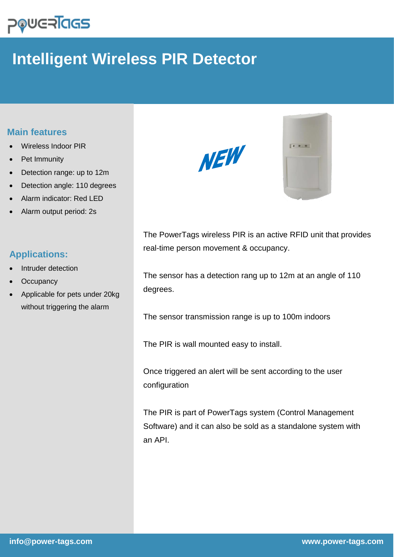## **POUGRIGS**

## **Intelligent Wireless PIR Detector**

## **Main features**

- Wireless Indoor PIR
- Pet Immunity
- Detection range: up to 12m
- Detection angle: 110 degrees
- Alarm indicator: Red LED
- Alarm output period: 2s

## **Applications:**

- Intruder detection
- **Occupancy**
- Applicable for pets under 20kg without triggering the alarm





The PowerTags wireless PIR is an active RFID unit that provides real-time person movement & occupancy.

The sensor has a detection rang up to 12m at an angle of 110 degrees.

The sensor transmission range is up to 100m indoors

The PIR is wall mounted easy to install.

Once triggered an alert will be sent according to the user configuration

The PIR is part of PowerTags system (Control Management Software) and it can also be sold as a standalone system with an API.